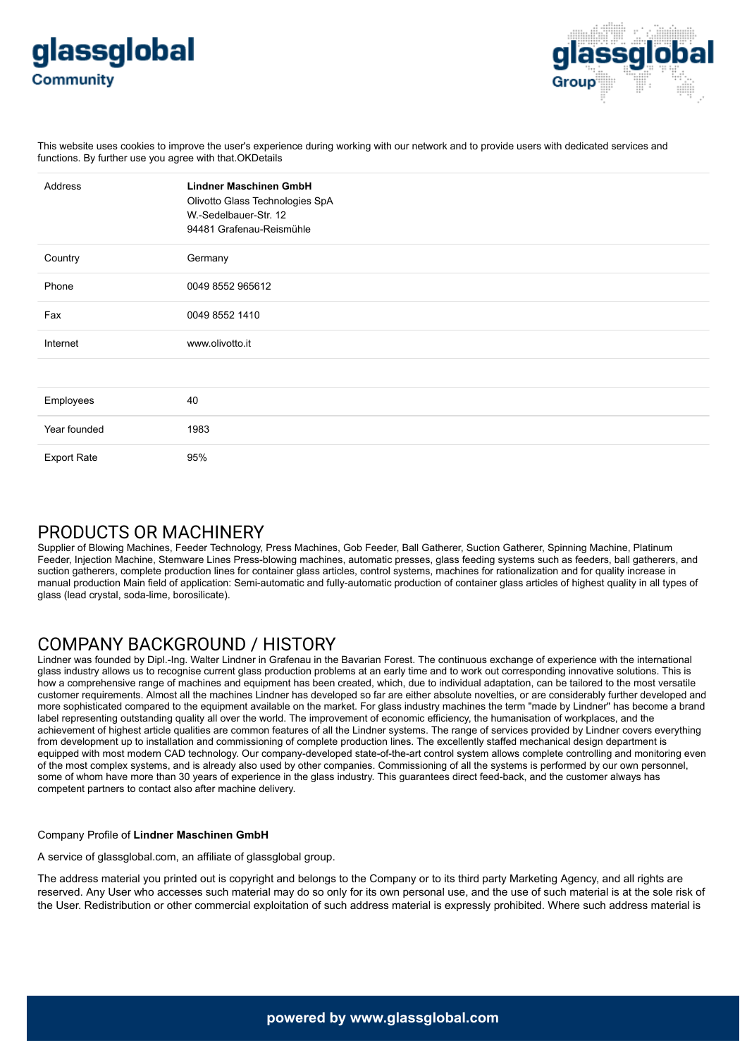



This website uses cookies to improve the user's experience during working with our network and to provide users with dedicated services and functions. By further use you agree with that.OKDetails

| Address            | <b>Lindner Maschinen GmbH</b><br>Olivotto Glass Technologies SpA<br>W.-Sedelbauer-Str. 12<br>94481 Grafenau-Reismühle |
|--------------------|-----------------------------------------------------------------------------------------------------------------------|
| Country            | Germany                                                                                                               |
| Phone              | 0049 8552 965612                                                                                                      |
| Fax                | 0049 8552 1410                                                                                                        |
| Internet           | www.olivotto.it                                                                                                       |
|                    |                                                                                                                       |
| Employees          | 40                                                                                                                    |
| Year founded       | 1983                                                                                                                  |
| <b>Export Rate</b> | 95%                                                                                                                   |

## PRODUCTS OR MACHINERY

Supplier of Blowing Machines, Feeder Technology, Press Machines, Gob Feeder, Ball Gatherer, Suction Gatherer, Spinning Machine, Platinum Feeder, Injection Machine, Stemware Lines Press-blowing machines, automatic presses, glass feeding systems such as feeders, ball gatherers, and suction gatherers, complete production lines for container glass articles, control systems, machines for rationalization and for quality increase in manual production Main field of application: Semi-automatic and fully-automatic production of container glass articles of highest quality in all types of glass (lead crystal, soda-lime, borosilicate).

## COMPANY BACKGROUND / HISTORY

Lindner was founded by Dipl.-Ing. Walter Lindner in Grafenau in the Bavarian Forest. The continuous exchange of experience with the international glass industry allows us to recognise current glass production problems at an early time and to work out corresponding innovative solutions. This is how a comprehensive range of machines and equipment has been created, which, due to individual adaptation, can be tailored to the most versatile customer requirements. Almost all the machines Lindner has developed so far are either absolute novelties, or are considerably further developed and more sophisticated compared to the equipment available on the market. For glass industry machines the term "made by Lindner" has become a brand label representing outstanding quality all over the world. The improvement of economic efficiency, the humanisation of workplaces, and the achievement of highest article qualities are common features of all the Lindner systems. The range of services provided by Lindner covers everything from development up to installation and commissioning of complete production lines. The excellently staffed mechanical design department is equipped with most modern CAD technology. Our company-developed state-of-the-art control system allows complete controlling and monitoring even of the most complex systems, and is already also used by other companies. Commissioning of all the systems is performed by our own personnel, some of whom have more than 30 years of experience in the glass industry. This guarantees direct feed-back, and the customer always has competent partners to contact also after machine delivery.

## Company Profile of **Lindner Maschinen GmbH**

A service of glassglobal.com, an affiliate of glassglobal group.

The address material you printed out is copyright and belongs to the Company or to its third party Marketing Agency, and all rights are reserved. Any User who accesses such material may do so only for its own personal use, and the use of such material is at the sole risk of the User. Redistribution or other commercial exploitation of such address material is expressly prohibited. Where such address material is